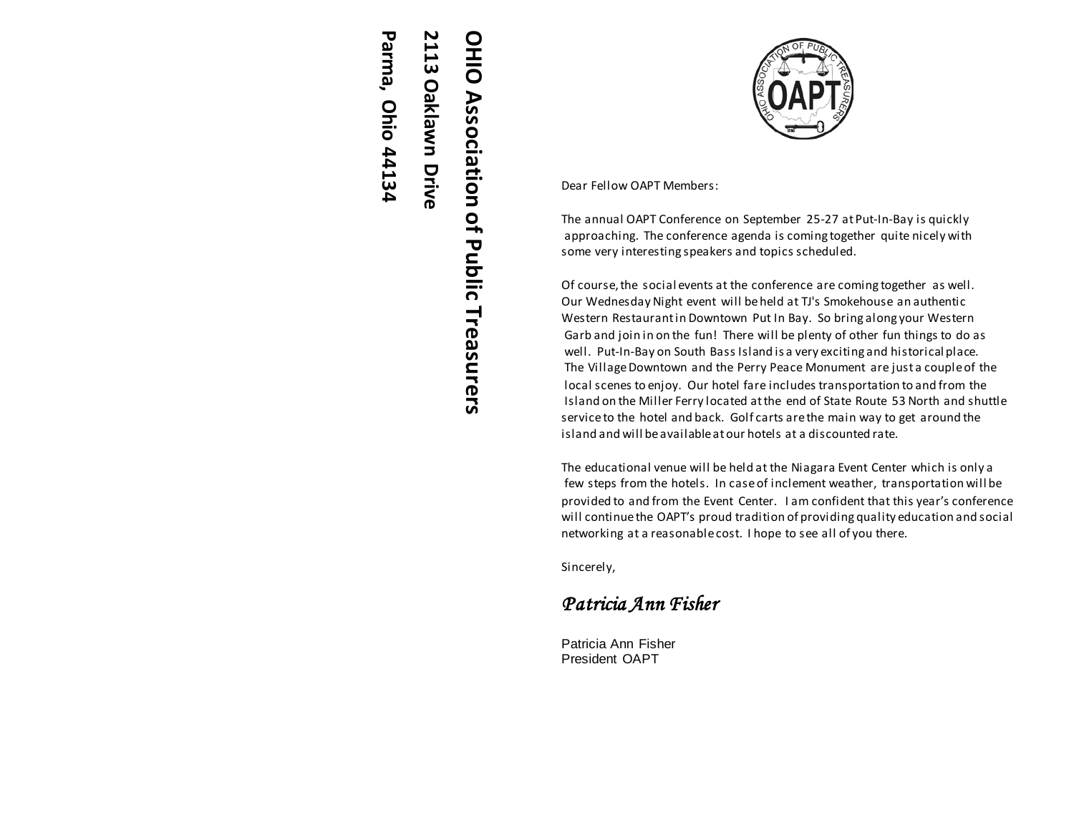# 2113 Oaklawn Drive OHIO Association of Public Treasurers **OHIO Association of Public TreasurersOaklawn Drive**

**Parma, Ohio 44134**

Parma, Ohio 44134

Dear Fellow OAPT Members :

The annual OAPT Conference on September 2 5 - 27 at Put -In -Bay is quickly approaching. The conference agenda is coming together quite nicely with some very interesting speakers and topics scheduled.

Of course, the social events at the conference are coming together as well. Our Wednesday Night event will be held at TJ's Smokehouse an authentic Western Restaurant in Downtown Put In Bay. So bring along your Western Garb and join in on the fun! There will be plenty of other fun things to do as well. Put -In -Bay on South Bass Island is a very exciting and historical place. The Village Downtown and the Perry Peace Monument are just a couple of the local scenes to enjoy. Our hotel fare includes transportation to and from the Island on the Miller Ferry located at the end of State Route 53 North and shuttle service to the hotel and back. Golf carts are the main way to get around the island and will be available at our hotels at a discounted rate.

The educational venue will be held at the Niagara Event Center which is only a few steps from the hotels. In case of inclement weather, transportation will be provided to and from the Event Center. I am confident that this year's conference will continue the OAPT's proud tradition of providing quality education and social networking at a reasonable cost. I hope to see all of you there.

Sincerely,

# *Patricia Ann Fisher*

Patricia Ann Fisher President OAPT